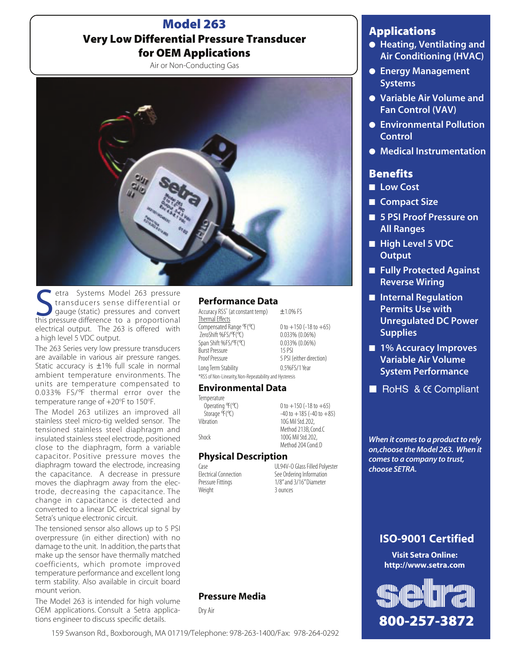# Model 263 Very Low Differential Pressure Transducer for OEM Applications

Air or Non-Conducting Gas



Setra Systems Model 263 pressure<br>
transducers sense differential or<br>
this pressure difference to a proportional transducers sense differential or gauge (static) pressures and convert electrical output. The 263 is offered with a high level 5 VDC output.

The 263 Series very low pressure transducers are available in various air pressure ranges. Static accuracy is  $\pm 1\%$  full scale in normal ambient temperature environments. The units are temperature compensated to 0.033% FS/°F thermal error over the temperature range of +20°F to 150°F.

The Model 263 utilizes an improved all stainless steel micro-tig welded sensor. The tensioned stainless steel diaphragm and insulated stainless steel electrode, positioned close to the diaphragm, form a variable capacitor. Positive pressure moves the diaphragm toward the electrode, increasing the capacitance. A decrease in pressure moves the diaphragm away from the electrode, decreasing the capacitance. The change in capacitance is detected and converted to a linear DC electrical signal by Setra's unique electronic circuit.

The tensioned sensor also allows up to 5 PSI overpressure (in either direction) with no damage to the unit. In addition, the parts that make up the sensor have thermally matched coefficients, which promote improved temperature performance and excellent long term stability. Also available in circuit board mount verion.

The Model 263 is intended for high volume OEM applications. Consult a Setra applications engineer to discuss specific details.

#### Performance Data

Accuracy RSS\* (at constant temp)  $\pm$ 1.0% FS Thermal Effects Compensated Range  $\mathcal{F}(\mathcal{X})$  0 to +150 (-18 to +65)<br>ZeroShift %FS/ $\mathcal{F}(\mathcal{X})$  0.033% (0.06%) ZeroShift %FS/°F(°C) 0.033% (0.06%) Span Shift %FS/°F(°C) 0.033<br>Burst Pressure 15 PSI Burst Pressure<br>Proof Pressure Long Term Stability 0.5%FS/1 Year \*RSS of Non-Linearity, Non-Repeatability and Hysteresis

5 PSI (either direction)

#### Environmental Data

Temperature<br>Operating °F(°C)

Operating  $\mathcal{F}(\mathcal{X})$  0 to +150 (-18 to +65)<br>Storage  $\mathcal{F}(\mathcal{X})$  -40 to +185 (-40 to +8!  $Storage \, \tilde{F}(\mathcal{C})$   $-40 \text{ to } +185 \, (-40 \text{ to } +85)$ <br>Vihration  $10 \text{ G Mil} \, \text{Std} \, 202$ , 10G Mil Std. 202, Method 213B, Cond.C Shock 100G Mil Std. 202, Method 204 Cond. D

### Physical Description

Weight

Case Case UL94V-O Glass Filled Polyester<br>
Electrical Connection See Ordering Information Electrical Connection<br>
Pressure Fittings<br>
T/8" and 3/16" Diameter  $1/8$ " and  $3/16$ " Diameter<br> $\frac{3}{16}$  ounces

### Pressure Media

Dry Air

# Applications

- Heating, Ventilating and Air Conditioning (HVAC)
- Energy Management Systems
- Variable Air Volume and Fan Control (VAV)
- Environmental Pollution **Control**
- Medical Instrumentation

## **Benefits**

- Low Cost
- Compact Size
- 5 PSI Proof Pressure on All Ranges
- High Level 5 VDC **Output**
- Fully Protected Against Reverse Wiring
- Internal Regulation Permits Use with Unregulated DC Power **Supplies**
- 1% Accuracy Improves Variable Air Volume System Performance
- RoHS & CC Compliant

*When it comes to a product to rely on,choose the Model 263. When it comes to a company to trust, choose SETRA.*

# ISO-9001 Certified

Visit Setra Online: http://www.setra.com



159 Swanson Rd., Boxborough, MA 01719/Telephone: 978-263-1400/Fax: 978-264-0292